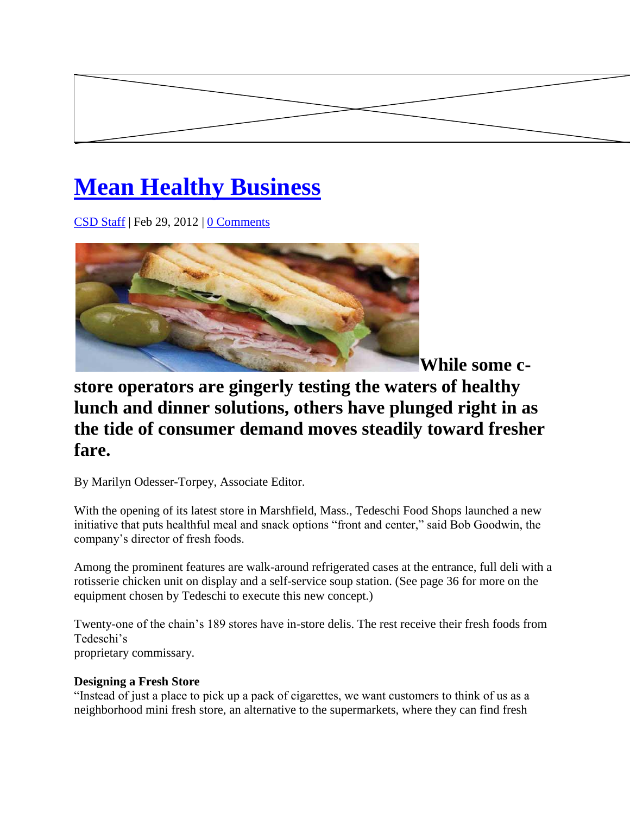# **[Mean Healthy Business](http://www.csdecisions.com/2012/02/29/mean-healthy-business/)**

[CSD Staff](http://www.csdecisions.com/author/admin/) | Feb 29, 2012 | [0 Comments](http://www.csdecisions.com/2012/02/29/mean-healthy-business/#disqus_thread)



**While some c-**

# **store operators are gingerly testing the waters of healthy lunch and dinner solutions, others have plunged right in as the tide of consumer demand moves steadily toward fresher fare.**

By Marilyn Odesser-Torpey, Associate Editor.

With the opening of its latest store in Marshfield, Mass., Tedeschi Food Shops launched a new initiative that puts healthful meal and snack options "front and center," said Bob Goodwin, the company's director of fresh foods.

Among the prominent features are walk-around refrigerated cases at the entrance, full deli with a rotisserie chicken unit on display and a self-service soup station. (See page 36 for more on the equipment chosen by Tedeschi to execute this new concept.)

Twenty-one of the chain's 189 stores have in-store delis. The rest receive their fresh foods from Tedeschi's proprietary commissary.

## **Designing a Fresh Store**

"Instead of just a place to pick up a pack of cigarettes, we want customers to think of us as a neighborhood mini fresh store, an alternative to the supermarkets, where they can find fresh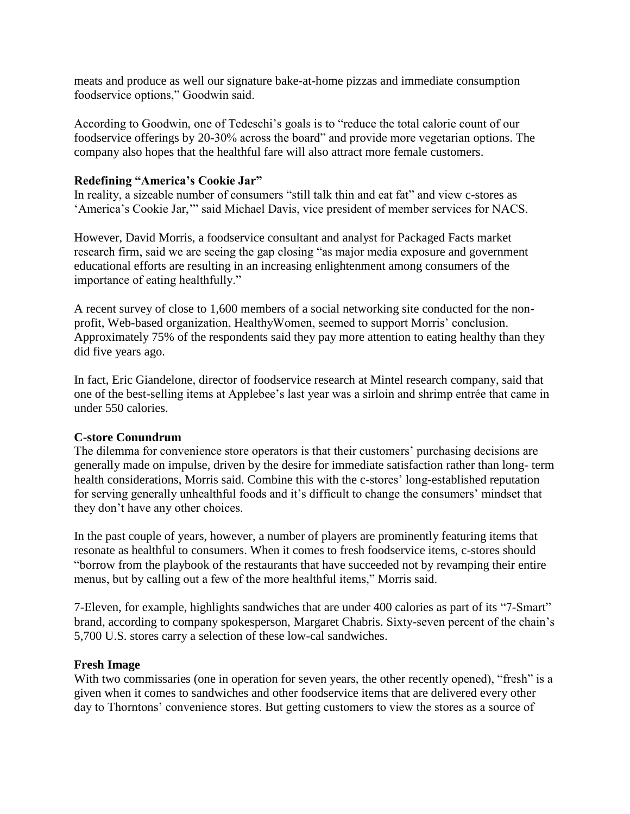meats and produce as well our signature bake-at-home pizzas and immediate consumption foodservice options," Goodwin said.

According to Goodwin, one of Tedeschi's goals is to "reduce the total calorie count of our foodservice offerings by 20-30% across the board" and provide more vegetarian options. The company also hopes that the healthful fare will also attract more female customers.

### **Redefining "America's Cookie Jar"**

In reality, a sizeable number of consumers "still talk thin and eat fat" and view c-stores as 'America's Cookie Jar,'" said Michael Davis, vice president of member services for NACS.

However, David Morris, a foodservice consultant and analyst for Packaged Facts market research firm, said we are seeing the gap closing "as major media exposure and government educational efforts are resulting in an increasing enlightenment among consumers of the importance of eating healthfully."

A recent survey of close to 1,600 members of a social networking site conducted for the nonprofit, Web-based organization, HealthyWomen, seemed to support Morris' conclusion. Approximately 75% of the respondents said they pay more attention to eating healthy than they did five years ago.

In fact, Eric Giandelone, director of foodservice research at Mintel research company, said that one of the best-selling items at Applebee's last year was a sirloin and shrimp entrée that came in under 550 calories.

#### **C-store Conundrum**

The dilemma for convenience store operators is that their customers' purchasing decisions are generally made on impulse, driven by the desire for immediate satisfaction rather than long- term health considerations, Morris said. Combine this with the c-stores' long-established reputation for serving generally unhealthful foods and it's difficult to change the consumers' mindset that they don't have any other choices.

In the past couple of years, however, a number of players are prominently featuring items that resonate as healthful to consumers. When it comes to fresh foodservice items, c-stores should "borrow from the playbook of the restaurants that have succeeded not by revamping their entire menus, but by calling out a few of the more healthful items," Morris said.

7-Eleven, for example, highlights sandwiches that are under 400 calories as part of its "7-Smart" brand, according to company spokesperson, Margaret Chabris. Sixty-seven percent of the chain's 5,700 U.S. stores carry a selection of these low-cal sandwiches.

#### **Fresh Image**

With two commissaries (one in operation for seven years, the other recently opened), "fresh" is a given when it comes to sandwiches and other foodservice items that are delivered every other day to Thorntons' convenience stores. But getting customers to view the stores as a source of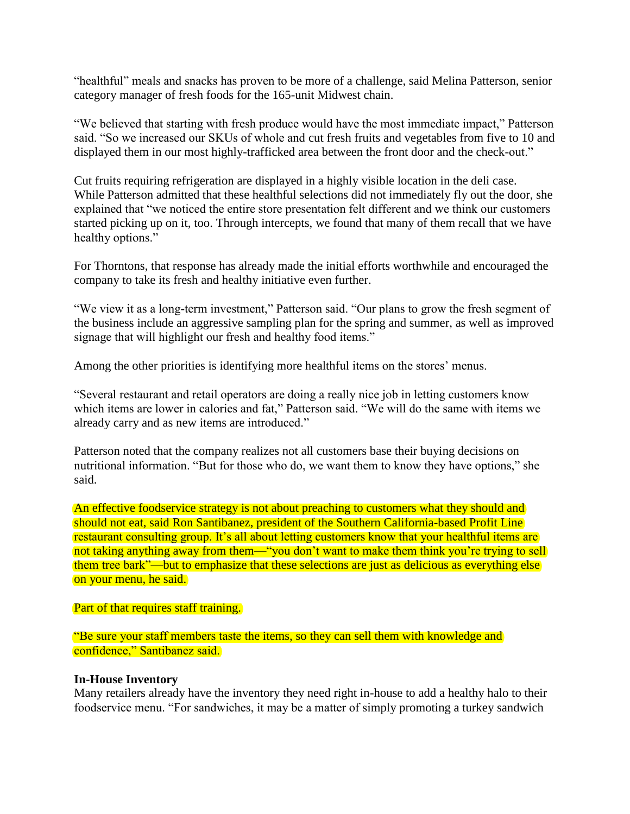"healthful" meals and snacks has proven to be more of a challenge, said Melina Patterson, senior category manager of fresh foods for the 165-unit Midwest chain.

"We believed that starting with fresh produce would have the most immediate impact," Patterson said. "So we increased our SKUs of whole and cut fresh fruits and vegetables from five to 10 and displayed them in our most highly-trafficked area between the front door and the check-out."

Cut fruits requiring refrigeration are displayed in a highly visible location in the deli case. While Patterson admitted that these healthful selections did not immediately fly out the door, she explained that "we noticed the entire store presentation felt different and we think our customers started picking up on it, too. Through intercepts, we found that many of them recall that we have healthy options."

For Thorntons, that response has already made the initial efforts worthwhile and encouraged the company to take its fresh and healthy initiative even further.

"We view it as a long-term investment," Patterson said. "Our plans to grow the fresh segment of the business include an aggressive sampling plan for the spring and summer, as well as improved signage that will highlight our fresh and healthy food items."

Among the other priorities is identifying more healthful items on the stores' menus.

"Several restaurant and retail operators are doing a really nice job in letting customers know which items are lower in calories and fat," Patterson said. "We will do the same with items we already carry and as new items are introduced."

Patterson noted that the company realizes not all customers base their buying decisions on nutritional information. "But for those who do, we want them to know they have options," she said.

An effective foodservice strategy is not about preaching to customers what they should and should not eat, said Ron Santibanez, president of the Southern California-based Profit Line restaurant consulting group. It's all about letting customers know that your healthful items are not taking anything away from them—"you don't want to make them think you're trying to sell them tree bark"—but to emphasize that these selections are just as delicious as everything else on your menu, he said.

#### Part of that requires staff training.

"Be sure your staff members taste the items, so they can sell them with knowledge and confidence," Santibanez said.

#### **In-House Inventory**

Many retailers already have the inventory they need right in-house to add a healthy halo to their foodservice menu. "For sandwiches, it may be a matter of simply promoting a turkey sandwich